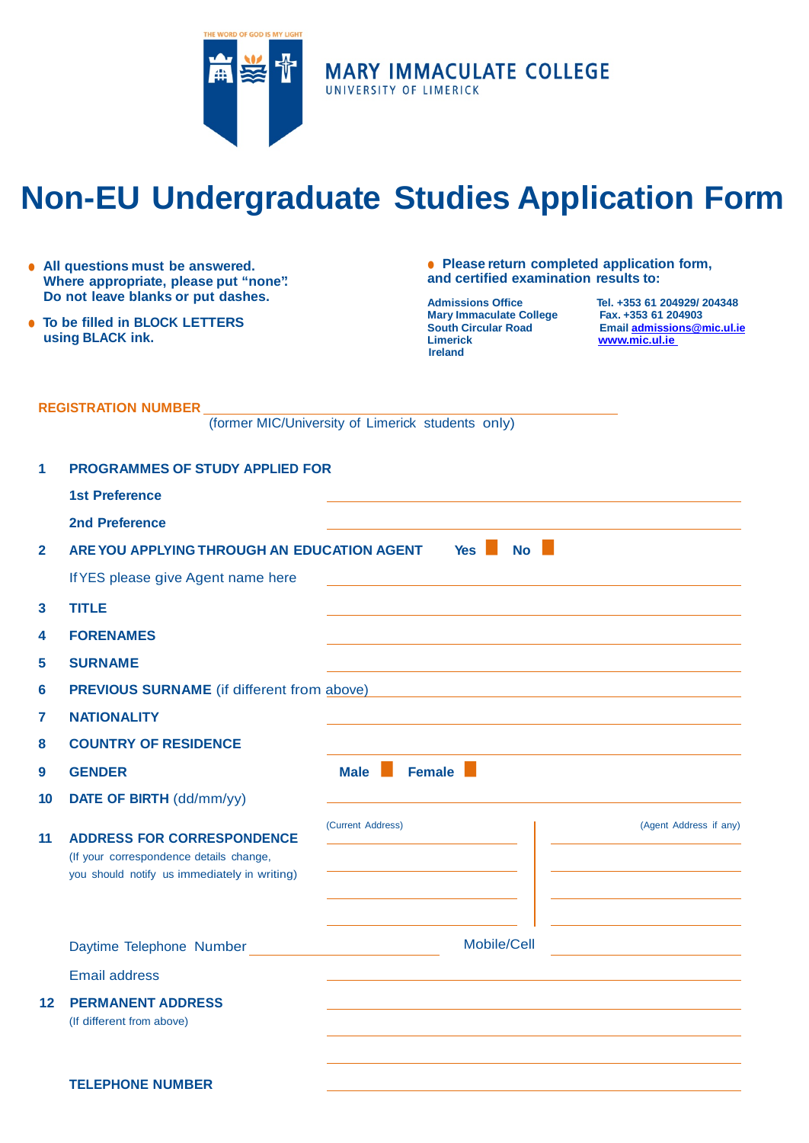

**MARY IMMACULATE COLLEGE** UNIVERSITY OF LIMERICK

# **Non-EU Undergraduate Studies Application Form**

- **All questions must be answered. Where appropriate, please put "none". Do not leave blanks or put dashes.**
- **To be filled in BLOCK LETTERS using BLACK ink.**

#### ● **Please return completed application form, and certified examination results to:**

**Mary Immaculate College<br>South Circular Road Ireland**

**Admissions Office Tel. +353 61 204929/ 204348 South Circular Road Emai[l admissions@mic.ul.ie](mailto:admissions@mic.ul.ie)** www.mic.ul.ie

(former MIC/University of Limerick students only)

| 1                       | <b>PROGRAMMES OF STUDY APPLIED FOR</b>                                                                                       |                                             |
|-------------------------|------------------------------------------------------------------------------------------------------------------------------|---------------------------------------------|
|                         | <b>1st Preference</b>                                                                                                        |                                             |
|                         | <b>2nd Preference</b>                                                                                                        |                                             |
| $\overline{2}$          | ARE YOU APPLYING THROUGH AN EDUCATION AGENT                                                                                  | No<br>Yes                                   |
|                         | If YES please give Agent name here                                                                                           |                                             |
| $\overline{\mathbf{3}}$ | <b>TITLE</b>                                                                                                                 |                                             |
| 4                       | <b>FORENAMES</b>                                                                                                             |                                             |
| 5                       | <b>SURNAME</b>                                                                                                               |                                             |
| 6                       | <b>PREVIOUS SURNAME</b> (if different from above)                                                                            |                                             |
| 7                       | <b>NATIONALITY</b>                                                                                                           |                                             |
| 8                       | <b>COUNTRY OF RESIDENCE</b>                                                                                                  |                                             |
| 9                       | <b>GENDER</b>                                                                                                                | Female  <br>Male <b>N</b>                   |
| 10                      | <b>DATE OF BIRTH (dd/mm/yy)</b>                                                                                              |                                             |
| 11                      | <b>ADDRESS FOR CORRESPONDENCE</b><br>(If your correspondence details change,<br>you should notify us immediately in writing) | (Current Address)<br>(Agent Address if any) |
|                         | Daytime Telephone Number                                                                                                     | Mobile/Cell                                 |
|                         | <b>Email address</b>                                                                                                         |                                             |
| 12                      | <b>PERMANENT ADDRESS</b><br>(If different from above)                                                                        |                                             |
|                         | <b>TELEPHONE NUMBER</b>                                                                                                      |                                             |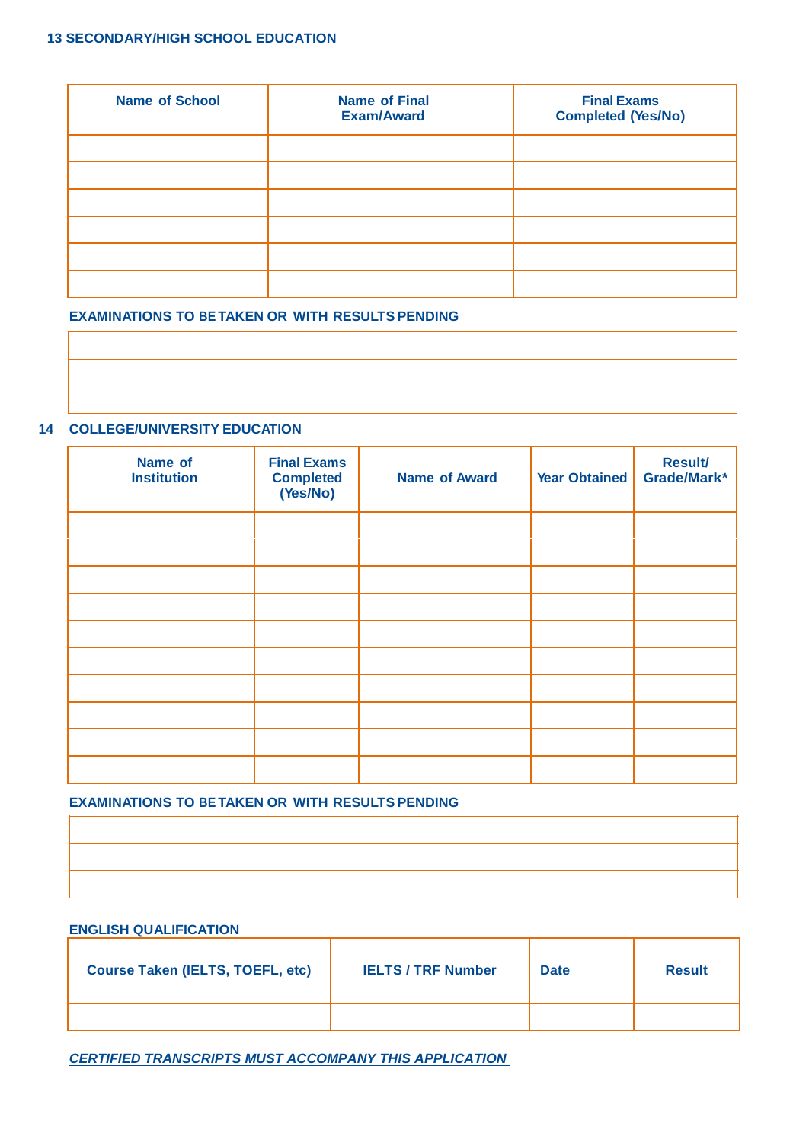### **13 SECONDARY/HIGH SCHOOL EDUCATION**

| <b>Name of School</b> | <b>Name of Final</b><br><b>Exam/Award</b> | <b>Final Exams</b><br><b>Completed (Yes/No)</b> |
|-----------------------|-------------------------------------------|-------------------------------------------------|
|                       |                                           |                                                 |
|                       |                                           |                                                 |
|                       |                                           |                                                 |
|                       |                                           |                                                 |
|                       |                                           |                                                 |
|                       |                                           |                                                 |

### **EXAMINATIONS TO BE TAKEN OR WITH RESULTS PENDING**

# **14 COLLEGE/UNIVERSITY EDUCATION**

| Name of<br><b>Institution</b> | <b>Final Exams</b><br><b>Completed</b><br>(Yes/No) | <b>Name of Award</b> | <b>Year Obtained</b> | <b>Result/</b><br>Grade/Mark* |
|-------------------------------|----------------------------------------------------|----------------------|----------------------|-------------------------------|
|                               |                                                    |                      |                      |                               |
|                               |                                                    |                      |                      |                               |
|                               |                                                    |                      |                      |                               |
|                               |                                                    |                      |                      |                               |
|                               |                                                    |                      |                      |                               |
|                               |                                                    |                      |                      |                               |
|                               |                                                    |                      |                      |                               |
|                               |                                                    |                      |                      |                               |
|                               |                                                    |                      |                      |                               |
|                               |                                                    |                      |                      |                               |

# **EXAMINATIONS TO BE TAKEN OR WITH RESULTS PENDING**

# **ENGLISH QUALIFICATION**

| <b>Course Taken (IELTS, TOEFL, etc)</b> | <b>IELTS / TRF Number</b> | <b>Date</b> | <b>Result</b> |
|-----------------------------------------|---------------------------|-------------|---------------|
|                                         |                           |             |               |

*CERTIFIED TRANSCRIPTS MUST ACCOMPANY THIS APPLICATION*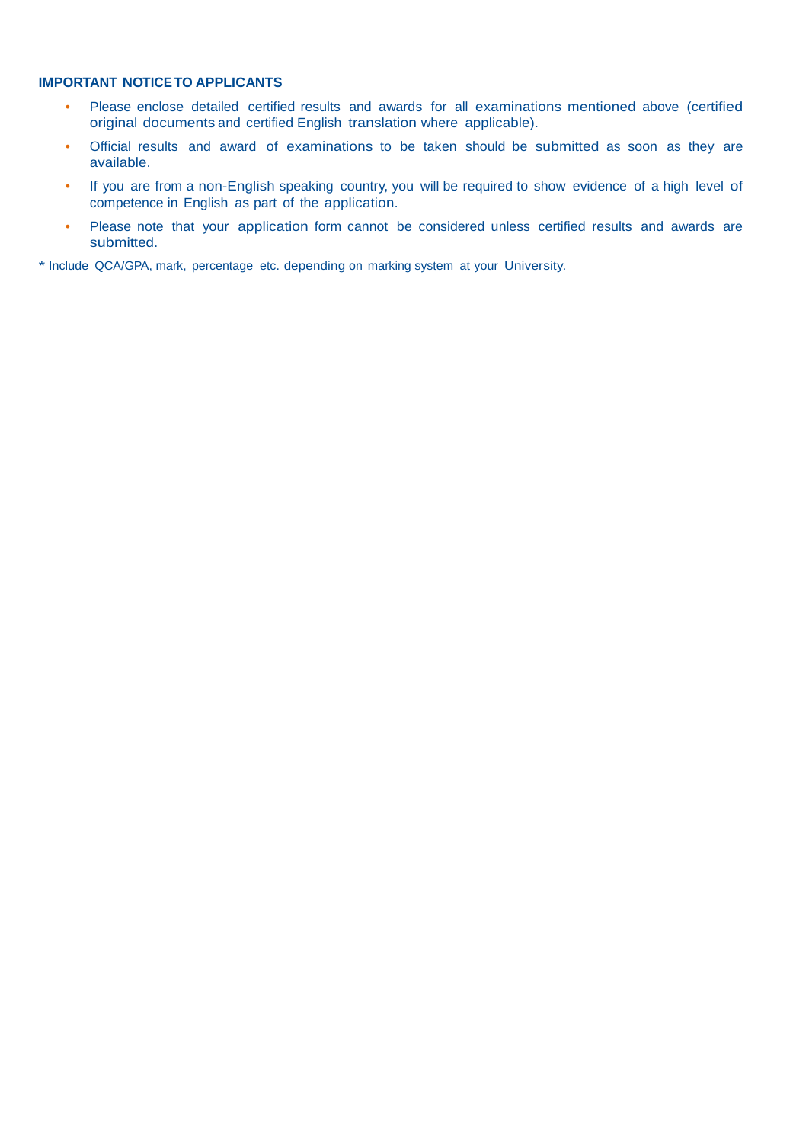# **IMPORTANT NOTICETO APPLICANTS**

- Please enclose detailed certified results and awards for all examinations mentioned above (certified original documents and certified English translation where applicable).
- Official results and award of examinations to be taken should be submitted as soon as they are available.
- If you are from a non-English speaking country, you will be required to show evidence of a high level of competence in English as part of the application.
- Please note that your application form cannot be considered unless certified results and awards are submitted.

\* Include QCA/GPA, mark, percentage etc. depending on marking system at your University.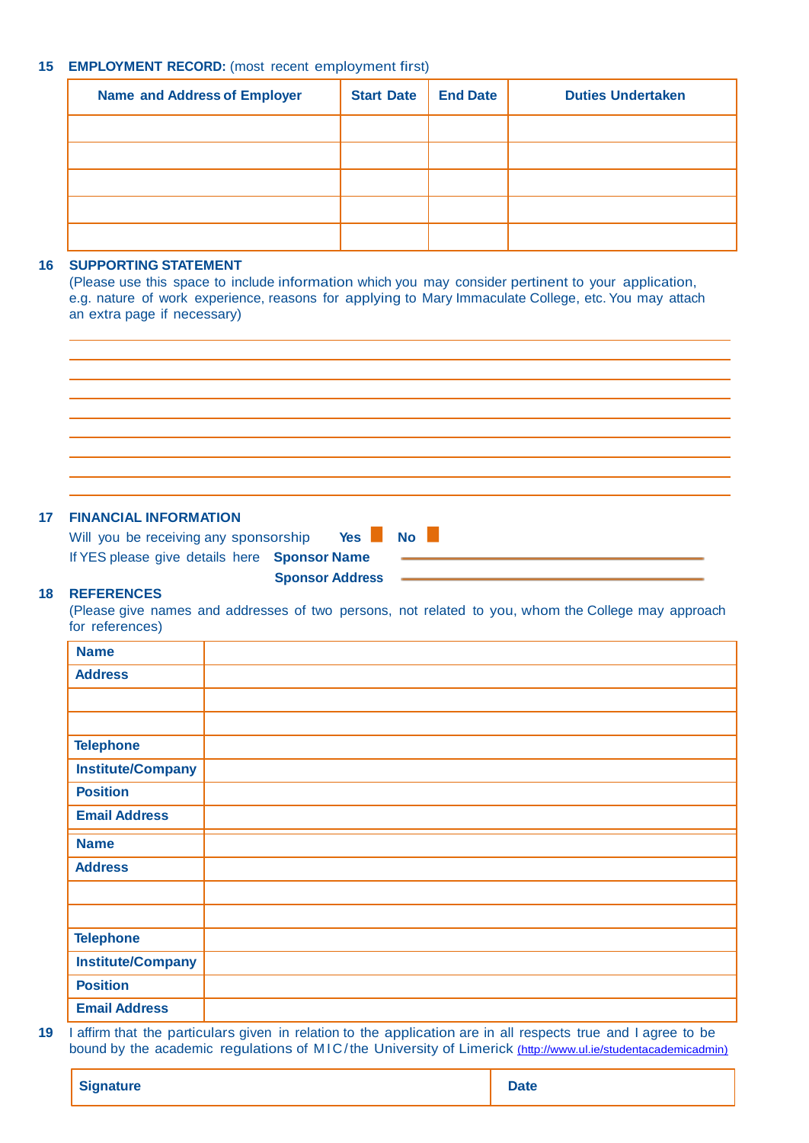## **15 EMPLOYMENT RECORD:** (most recent employment first)

| <b>Name and Address of Employer</b> | <b>Start Date</b> | <b>End Date</b> | <b>Duties Undertaken</b> |
|-------------------------------------|-------------------|-----------------|--------------------------|
|                                     |                   |                 |                          |
|                                     |                   |                 |                          |
|                                     |                   |                 |                          |
|                                     |                   |                 |                          |
|                                     |                   |                 |                          |

### **16 SUPPORTING STATEMENT**

(Please use this space to include information which you may consider pertinent to your application, e.g. nature of work experience, reasons for applying to Mary Immaculate College, etc. You may attach an extra page if necessary)

# **17 FINANCIAL INFORMATION**

| Will you be receiving any sponsorship        | Yes l                  | <b>No</b> |  |
|----------------------------------------------|------------------------|-----------|--|
| If YES please give details here Sponsor Name |                        |           |  |
|                                              | <b>Sponsor Address</b> |           |  |

| ١<br>o<br>л.<br>٠<br>۰. |  |
|-------------------------|--|
|                         |  |

#### **18 REFERENCES**

(Please give names and addresses of two persons, not related to you, whom the College may approach for references)

| <b>Name</b>              |  |
|--------------------------|--|
| <b>Address</b>           |  |
|                          |  |
|                          |  |
| <b>Telephone</b>         |  |
| <b>Institute/Company</b> |  |
| <b>Position</b>          |  |
| <b>Email Address</b>     |  |
| <b>Name</b>              |  |
| <b>Address</b>           |  |
|                          |  |
|                          |  |
| <b>Telephone</b>         |  |
| <b>Institute/Company</b> |  |
| <b>Position</b>          |  |
| <b>Email Address</b>     |  |

**19** I affirm that the particulars given in relation to the application are in all respects true and I agree to be bound by the academic regulations of MIC/ the University of Limerick (http://www.ul.ie/studentacademicadmin)

| Signature | <b>Date</b> |
|-----------|-------------|
|           |             |